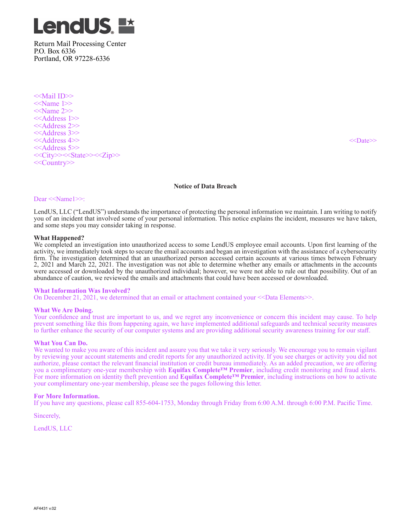

Return Mail Processing Center P.O. Box 6336 Portland, OR 97228-6336

<<Mail ID>> <<Name 1>> <<Name 2>> <<Address 1>> <<Address 2>> <<Address 3>> <<Address 4>> <<Date>> <<Address 5>> <<City>><<State>><<Zip>> <<Country>>

## **Notice of Data Breach**

## Dear <<Name1>>:

LendUS, LLC ("LendUS") understands the importance of protecting the personal information we maintain. I am writing to notify you of an incident that involved some of your personal information. This notice explains the incident, measures we have taken, and some steps you may consider taking in response.

## **What Happened?**

We completed an investigation into unauthorized access to some LendUS employee email accounts. Upon first learning of the activity, we immediately took steps to secure the email accounts and began an investigation with the assistance of a cybersecurity firm. The investigation determined that an unauthorized person accessed certain accounts at various times between February 2, 2021 and March 22, 2021. The investigation was not able to determine whether any emails or attachments in the accounts were accessed or downloaded by the unauthorized individual; however, we were not able to rule out that possibility. Out of an abundance of caution, we reviewed the emails and attachments that could have been accessed or downloaded.

## **What Information Was Involved?**

On December 21, 2021, we determined that an email or attachment contained your <<Data Elements>>.

## **What We Are Doing.**

Your confidence and trust are important to us, and we regret any inconvenience or concern this incident may cause. To help prevent something like this from happening again, we have implemented additional safeguards and technical security measures to further enhance the security of our computer systems and are providing additional security awareness training for our staff.

## **What You Can Do.**

We wanted to make you aware of this incident and assure you that we take it very seriously. We encourage you to remain vigilant by reviewing your account statements and credit reports for any unauthorized activity. If you see charges or activity you did not authorize, please contact the relevant financial institution or credit bureau immediately. As an added precaution, we are offering you a complimentary one-year membership with **Equifax Complete™ Premier**, including credit monitoring and fraud alerts. For more information on identity theft prevention and **Equifax Complete™ Premier**, including instructions on how to activate your complimentary one-year membership, please see the pages following this letter.

## **For More Information.**

If you have any questions, please call 855-604-1753, Monday through Friday from 6:00 A.M. through 6:00 P.M. Pacific Time.

Sincerely,

LendUS, LLC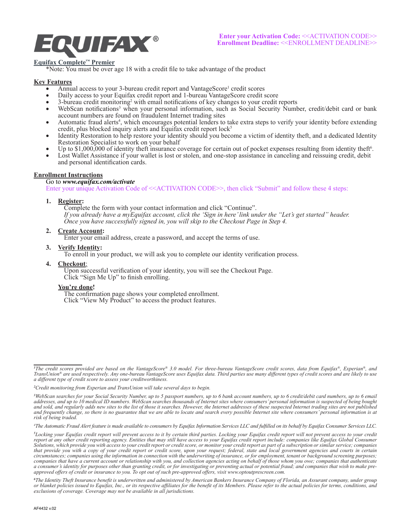

# **Equifax Complete™ Premier**

\*Note: You must be over age 18 with a credit file to take advantage of the product

## **Key Features**

- Annual access to your 3-bureau credit report and VantageScore<sup>1</sup> credit scores
- Daily access to your Equifax credit report and 1-bureau VantageScore credit score
- 3-bureau credit monitoring<sup>2</sup> with email notifications of key changes to your credit reports
- WebScan notifications<sup>3</sup> when your personal information, such as Social Security Number, credit/debit card or bank account numbers are found on fraudulent Internet trading sites
- Automatic fraud alerts<sup>4</sup>, which encourages potential lenders to take extra steps to verify your identity before extending credit, plus blocked inquiry alerts and Equifax credit report lock<sup>5</sup>
- Identity Restoration to help restore your identity should you become a victim of identity theft, and a dedicated Identity Restoration Specialist to work on your behalf
- Up to \$1,000,000 of identity theft insurance coverage for certain out of pocket expenses resulting from identity theft<sup>6</sup>.
- Lost Wallet Assistance if your wallet is lost or stolen, and one-stop assistance in canceling and reissuing credit, debit and personal identification cards.

## **Enrollment Instructions**

## Go to *www.equifax.com/activate*

Enter your unique Activation Code of <<ACTIVATION CODE>>, then click "Submit" and follow these 4 steps:

## **1. Register:**

Complete the form with your contact information and click "Continue". *If you already have a myEquifax account, click the 'Sign in here' link under the "Let's get started" header. Once you have successfully signed in, you will skip to the Checkout Page in Step 4.*

## **2. Create Account:**

Enter your email address, create a password, and accept the terms of use.

## **3. Verify Identity:**

To enroll in your product, we will ask you to complete our identity verification process.

## **4. Checkout**:

Upon successful verification of your identity, you will see the Checkout Page. Click "Sign Me Up" to finish enrolling.

## **You're done!**

The confirmation page shows your completed enrollment. Click "View My Product" to access the product features.

*<sup>1</sup> The credit scores provided are based on the VantageScore® 3.0 model. For three-bureau VantageScore credit scores, data from Equifax®, Experian®, and TransUnion® are used respectively. Any one-bureau VantageScore uses Equifax data. Third parties use many different types of credit scores and are likely to use a different type of credit score to assess your creditworthiness.* 

*<sup>2</sup> Credit monitoring from Experian and TransUnion will take several days to begin.*

*<sup>3</sup> WebScan searches for your Social Security Number, up to 5 passport numbers, up to 6 bank account numbers, up to 6 credit/debit card numbers, up to 6 email addresses, and up to 10 medical ID numbers. WebScan searches thousands of Internet sites where consumers' personal information is suspected of being bought and sold, and regularly adds new sites to the list of those it searches. However, the Internet addresses of these suspected Internet trading sites are not published and frequently change, so there is no guarantee that we are able to locate and search every possible Internet site where consumers' personal information is at risk of being traded.* 

*<sup>4</sup> The Automatic Fraud Alert feature is made available to consumers by Equifax Information Services LLC and fulfilled on its behalf by Equifax Consumer Services LLC.*

<sup>&</sup>lt;sup>5</sup>Locking your Equifax credit report will prevent access to it by certain third parties. Locking your Equifax credit report will not prevent access to your credit report at any other credit reporting agency. Entities that may still have access to your Equifax credit report include: companies like Equifax Global Consumer *Solutions, which provide you with access to your credit report or credit score, or monitor your credit report as part of a subscription or similar service; companies that provide you with a copy of your credit report or credit score, upon your request; federal, state and local government agencies and courts in certain circumstances; companies using the information in connection with the underwriting of insurance, or for employment, tenant or background screening purposes; companies that have a current account or relationship with you, and collection agencies acting on behalf of those whom you owe; companies that authenticate a consumer's identity for purposes other than granting credit, or for investigating or preventing actual or potential fraud; and companies that wish to make preapproved offers of credit or insurance to you. To opt out of such pre-approved offers, visit www.optoutprescreen.com.* 

<sup>&</sup>lt;sup>6</sup>The Identity Theft Insurance benefit is underwritten and administered by American Bankers Insurance Company of Florida, an Assurant company, under group<br>or blanket policies issued to Equifax, Inc., or its respective aff